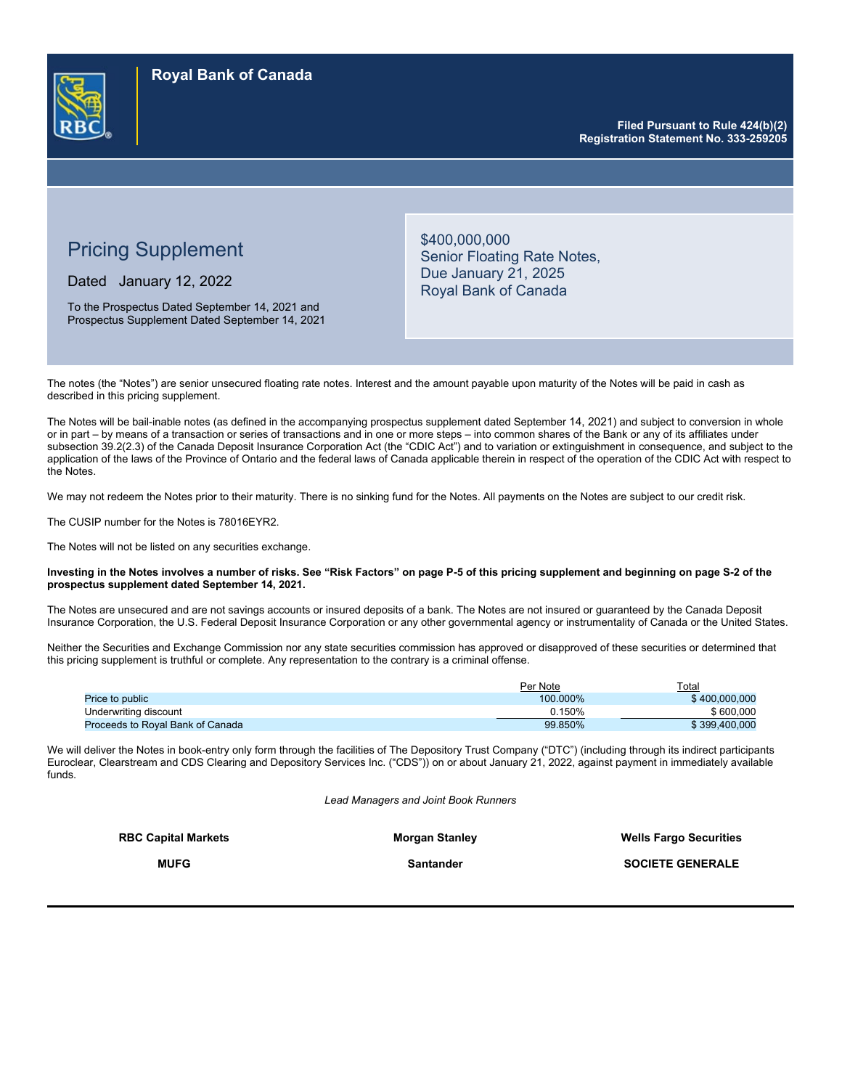

**Filed Pursuant to Rule 424(b)(2) Registration Statement No. 333-259205** 

# Pricing Supplement

Dated January 12, 2022

To the Prospectus Dated September 14, 2021 and Prospectus Supplement Dated September 14, 2021 \$400,000,000 Senior Floating Rate Notes, Due January 21, 2025 Royal Bank of Canada

The notes (the "Notes") are senior unsecured floating rate notes. Interest and the amount payable upon maturity of the Notes will be paid in cash as described in this pricing supplement.

The Notes will be bail-inable notes (as defined in the accompanying prospectus supplement dated September 14, 2021) and subject to conversion in whole or in part – by means of a transaction or series of transactions and in one or more steps – into common shares of the Bank or any of its affiliates under subsection 39.2(2.3) of the Canada Deposit Insurance Corporation Act (the "CDIC Act") and to variation or extinguishment in consequence, and subject to the application of the laws of the Province of Ontario and the federal laws of Canada applicable therein in respect of the operation of the CDIC Act with respect to the Notes.

We may not redeem the Notes prior to their maturity. There is no sinking fund for the Notes. All payments on the Notes are subject to our credit risk.

The CUSIP number for the Notes is 78016EYR2.

The Notes will not be listed on any securities exchange.

#### **Investing in the Notes involves a number of risks. See "Risk Factors" on page P-5 of this pricing supplement and beginning on page S-2 of the prospectus supplement dated September 14, 2021.**

The Notes are unsecured and are not savings accounts or insured deposits of a bank. The Notes are not insured or guaranteed by the Canada Deposit Insurance Corporation, the U.S. Federal Deposit Insurance Corporation or any other governmental agency or instrumentality of Canada or the United States.

Neither the Securities and Exchange Commission nor any state securities commission has approved or disapproved of these securities or determined that this pricing supplement is truthful or complete. Any representation to the contrary is a criminal offense.

|                                  | Per Note | Total         |
|----------------------------------|----------|---------------|
| Price to public                  | 100.000% | \$400,000,000 |
| Underwriting discount            | 0.150%   | \$600.000     |
| Proceeds to Roval Bank of Canada | 99.850%  | \$399,400,000 |

We will deliver the Notes in book-entry only form through the facilities of The Depository Trust Company ("DTC") (including through its indirect participants Euroclear, Clearstream and CDS Clearing and Depository Services Inc. ("CDS")) on or about January 21, 2022, against payment in immediately available funds.

*Lead Managers and Joint Book Runners*

| <b>RBC Capital Markets</b><br><b>Morgan Stanley</b> |           | <b>Wells Fargo Securities</b> |  |
|-----------------------------------------------------|-----------|-------------------------------|--|
| <b>MUFG</b>                                         | Santander | <b>SOCIETE GENERALE</b>       |  |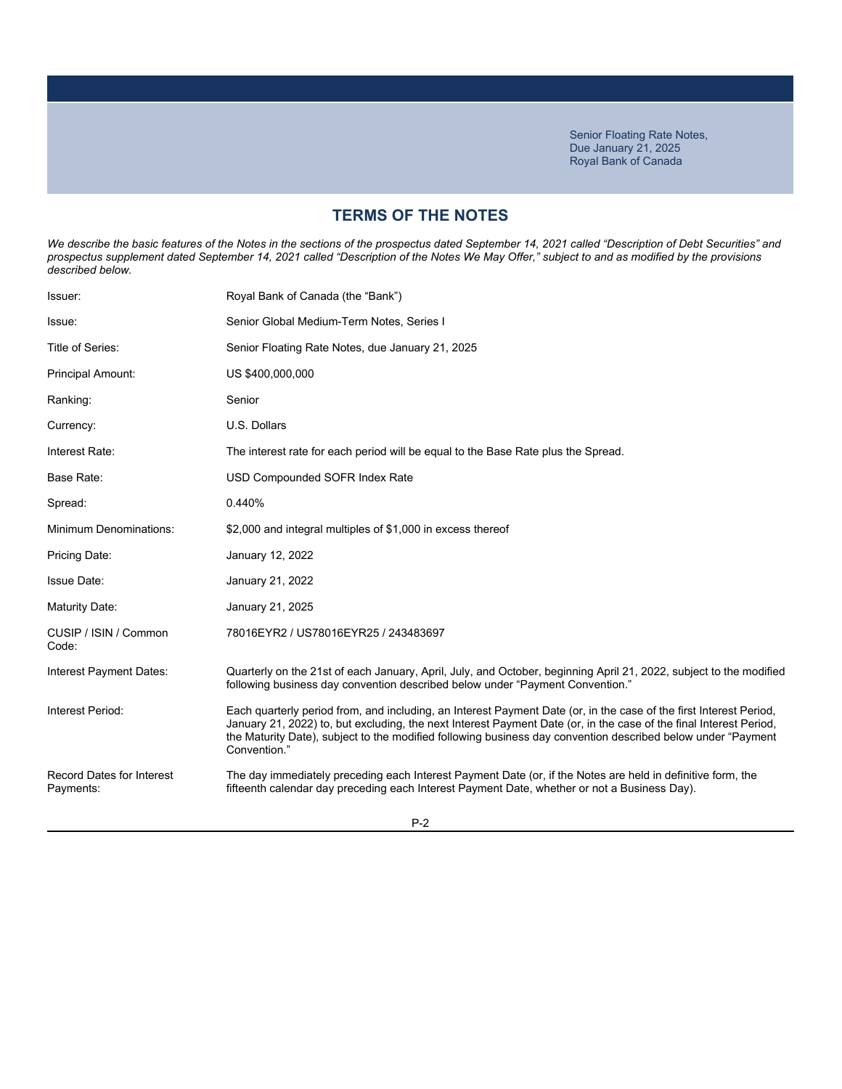# **TERMS OF THE NOTES**

We describe the basic features of the Notes in the sections of the prospectus dated September 14, 2021 called "Description of Debt Securities" and *prospectus supplement dated September 14, 2021 called "Description of the Notes We May Offer," subject to and as modified by the provisions described below.*

| Issuer:                                       | Royal Bank of Canada (the "Bank")                                                                                                                                                                                                                                                                                                                                         |
|-----------------------------------------------|---------------------------------------------------------------------------------------------------------------------------------------------------------------------------------------------------------------------------------------------------------------------------------------------------------------------------------------------------------------------------|
| Issue:                                        | Senior Global Medium-Term Notes, Series I                                                                                                                                                                                                                                                                                                                                 |
| Title of Series:                              | Senior Floating Rate Notes, due January 21, 2025                                                                                                                                                                                                                                                                                                                          |
| <b>Principal Amount:</b>                      | US \$400,000,000                                                                                                                                                                                                                                                                                                                                                          |
| Ranking:                                      | Senior                                                                                                                                                                                                                                                                                                                                                                    |
| Currency:                                     | U.S. Dollars                                                                                                                                                                                                                                                                                                                                                              |
| Interest Rate:                                | The interest rate for each period will be equal to the Base Rate plus the Spread.                                                                                                                                                                                                                                                                                         |
| Base Rate:                                    | USD Compounded SOFR Index Rate                                                                                                                                                                                                                                                                                                                                            |
| Spread:                                       | 0.440%                                                                                                                                                                                                                                                                                                                                                                    |
| <b>Minimum Denominations:</b>                 | \$2,000 and integral multiples of \$1,000 in excess thereof                                                                                                                                                                                                                                                                                                               |
| Pricing Date:                                 | January 12, 2022                                                                                                                                                                                                                                                                                                                                                          |
| <b>Issue Date:</b>                            | January 21, 2022                                                                                                                                                                                                                                                                                                                                                          |
| Maturity Date:                                | January 21, 2025                                                                                                                                                                                                                                                                                                                                                          |
| CUSIP / ISIN / Common<br>Code:                | 78016EYR2 / US78016EYR25 / 243483697                                                                                                                                                                                                                                                                                                                                      |
| Interest Payment Dates:                       | Quarterly on the 21st of each January, April, July, and October, beginning April 21, 2022, subject to the modified<br>following business day convention described below under "Payment Convention."                                                                                                                                                                       |
| Interest Period:                              | Each quarterly period from, and including, an Interest Payment Date (or, in the case of the first Interest Period,<br>January 21, 2022) to, but excluding, the next Interest Payment Date (or, in the case of the final Interest Period,<br>the Maturity Date), subject to the modified following business day convention described below under "Payment"<br>Convention." |
| <b>Record Dates for Interest</b><br>Payments: | The day immediately preceding each Interest Payment Date (or, if the Notes are held in definitive form, the<br>fifteenth calendar day preceding each Interest Payment Date, whether or not a Business Day).                                                                                                                                                               |
|                                               |                                                                                                                                                                                                                                                                                                                                                                           |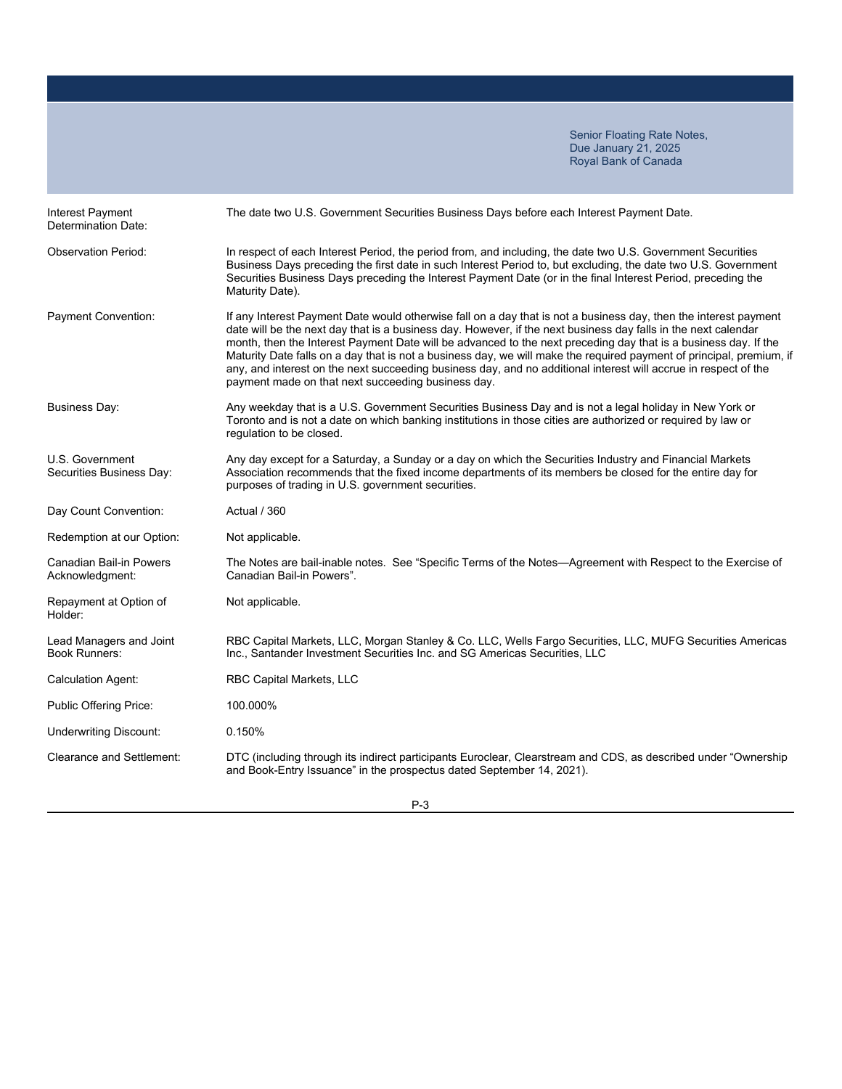| Interest Payment<br>Determination Date:           | The date two U.S. Government Securities Business Days before each Interest Payment Date.                                                                                                                                                                                                                                                                                                                                                                                                                                                                                                                                                               |
|---------------------------------------------------|--------------------------------------------------------------------------------------------------------------------------------------------------------------------------------------------------------------------------------------------------------------------------------------------------------------------------------------------------------------------------------------------------------------------------------------------------------------------------------------------------------------------------------------------------------------------------------------------------------------------------------------------------------|
| <b>Observation Period:</b>                        | In respect of each Interest Period, the period from, and including, the date two U.S. Government Securities<br>Business Days preceding the first date in such Interest Period to, but excluding, the date two U.S. Government<br>Securities Business Days preceding the Interest Payment Date (or in the final Interest Period, preceding the<br>Maturity Date).                                                                                                                                                                                                                                                                                       |
| Payment Convention:                               | If any Interest Payment Date would otherwise fall on a day that is not a business day, then the interest payment<br>date will be the next day that is a business day. However, if the next business day falls in the next calendar<br>month, then the Interest Payment Date will be advanced to the next preceding day that is a business day. If the<br>Maturity Date falls on a day that is not a business day, we will make the required payment of principal, premium, if<br>any, and interest on the next succeeding business day, and no additional interest will accrue in respect of the<br>payment made on that next succeeding business day. |
| <b>Business Day:</b>                              | Any weekday that is a U.S. Government Securities Business Day and is not a legal holiday in New York or<br>Toronto and is not a date on which banking institutions in those cities are authorized or required by law or<br>regulation to be closed.                                                                                                                                                                                                                                                                                                                                                                                                    |
| U.S. Government<br>Securities Business Day:       | Any day except for a Saturday, a Sunday or a day on which the Securities Industry and Financial Markets<br>Association recommends that the fixed income departments of its members be closed for the entire day for<br>purposes of trading in U.S. government securities.                                                                                                                                                                                                                                                                                                                                                                              |
| Day Count Convention:                             | Actual / 360                                                                                                                                                                                                                                                                                                                                                                                                                                                                                                                                                                                                                                           |
| Redemption at our Option:                         | Not applicable.                                                                                                                                                                                                                                                                                                                                                                                                                                                                                                                                                                                                                                        |
| <b>Canadian Bail-in Powers</b><br>Acknowledgment: | The Notes are bail-inable notes. See "Specific Terms of the Notes-Agreement with Respect to the Exercise of<br>Canadian Bail-in Powers".                                                                                                                                                                                                                                                                                                                                                                                                                                                                                                               |
| Repayment at Option of<br>Holder:                 | Not applicable.                                                                                                                                                                                                                                                                                                                                                                                                                                                                                                                                                                                                                                        |
| Lead Managers and Joint<br><b>Book Runners:</b>   | RBC Capital Markets, LLC, Morgan Stanley & Co. LLC, Wells Fargo Securities, LLC, MUFG Securities Americas<br>Inc., Santander Investment Securities Inc. and SG Americas Securities, LLC                                                                                                                                                                                                                                                                                                                                                                                                                                                                |
| <b>Calculation Agent:</b>                         | RBC Capital Markets, LLC                                                                                                                                                                                                                                                                                                                                                                                                                                                                                                                                                                                                                               |
| <b>Public Offering Price:</b>                     | 100.000%                                                                                                                                                                                                                                                                                                                                                                                                                                                                                                                                                                                                                                               |
| <b>Underwriting Discount:</b>                     | 0.150%                                                                                                                                                                                                                                                                                                                                                                                                                                                                                                                                                                                                                                                 |
| <b>Clearance and Settlement:</b>                  | DTC (including through its indirect participants Euroclear, Clearstream and CDS, as described under "Ownership<br>and Book-Entry Issuance" in the prospectus dated September 14, 2021).                                                                                                                                                                                                                                                                                                                                                                                                                                                                |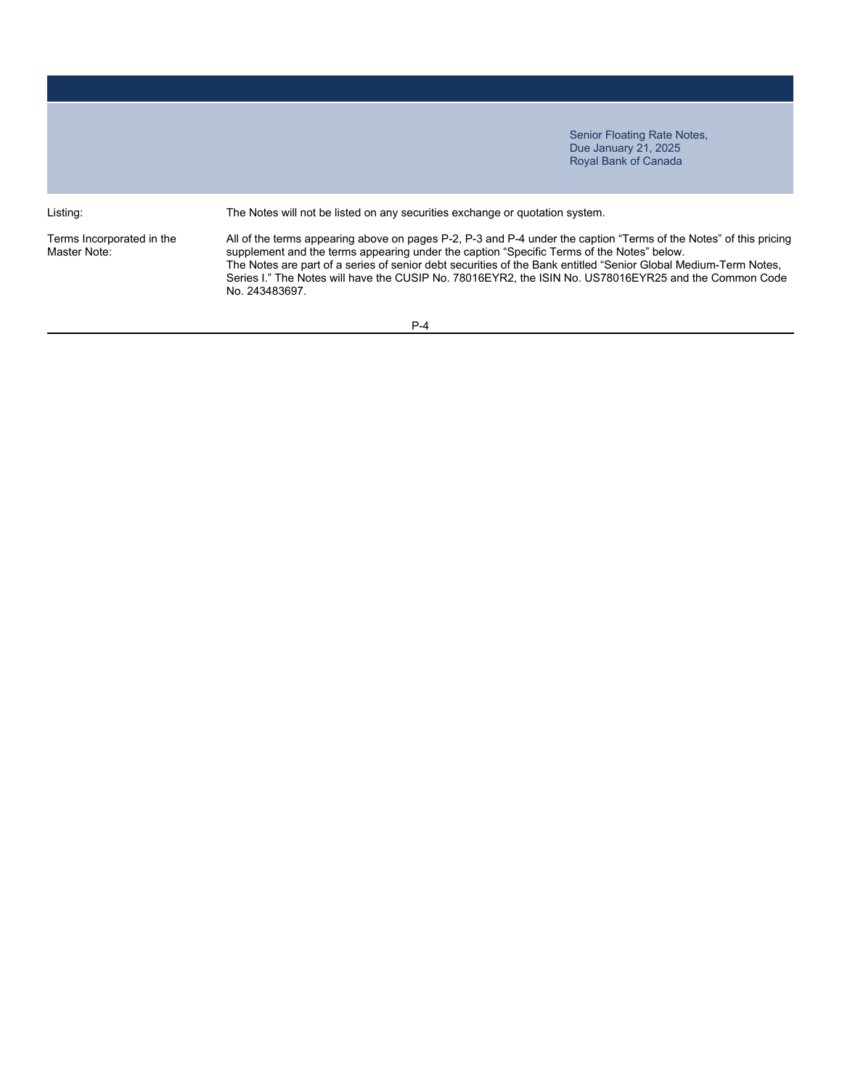Listing: The Notes will not be listed on any securities exchange or quotation system.

Terms Incorporated in the Master Note:

All of the terms appearing above on pages P-2, P-3 and P-4 under the caption "Terms of the Notes" of this pricing supplement and the terms appearing under the caption "Specific Terms of the Notes" below. The Notes are part of a series of senior debt securities of the Bank entitled "Senior Global Medium-Term Notes, Series I." The Notes will have the CUSIP No. 78016EYR2, the ISIN No. US78016EYR25 and the Common Code No. 243483697.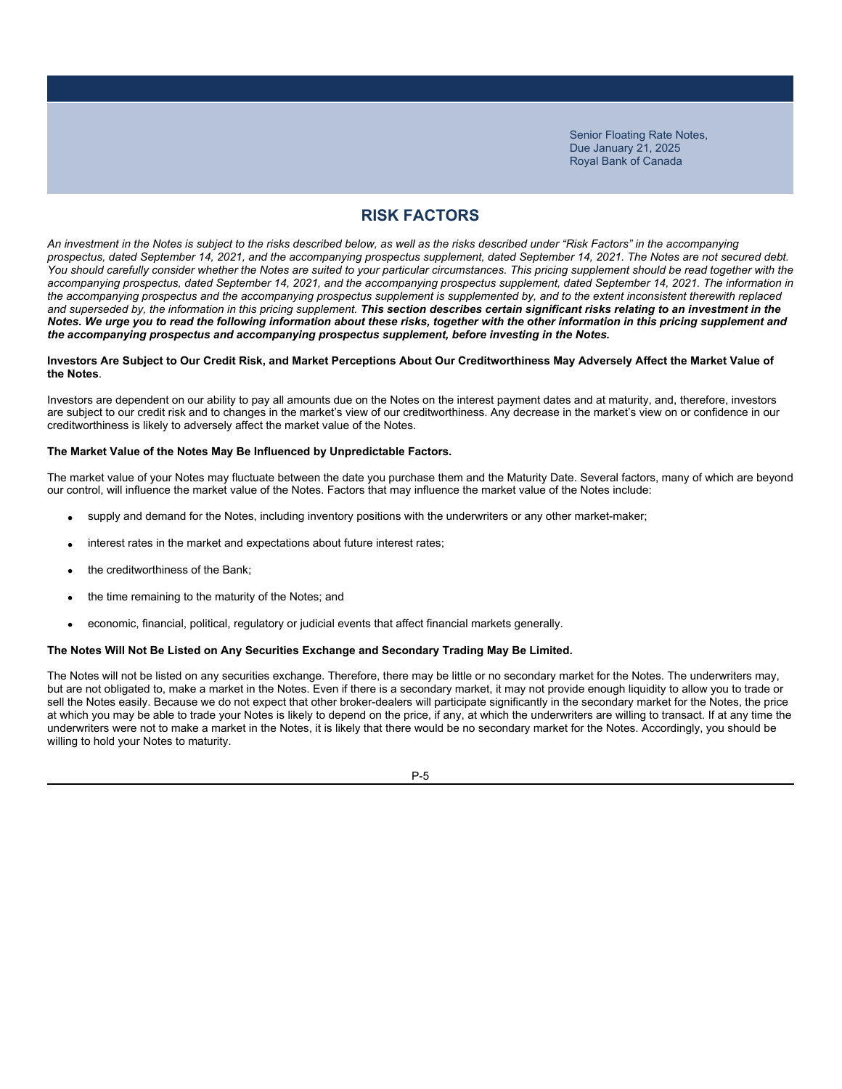# **RISK FACTORS**

*An investment in the Notes is subject to the risks described below, as well as the risks described under "Risk Factors" in the accompanying prospectus, dated September 14, 2021, and the accompanying prospectus supplement, dated September 14, 2021. The Notes are not secured debt.*  You should carefully consider whether the Notes are suited to your particular circumstances. This pricing supplement should be read together with the *accompanying prospectus, dated September 14, 2021, and the accompanying prospectus supplement, dated September 14, 2021. The information in the accompanying prospectus and the accompanying prospectus supplement is supplemented by, and to the extent inconsistent therewith replaced*  and superseded by, the information in this pricing supplement. This section describes certain significant risks relating to an investment in the *Notes. We urge you to read the following information about these risks, together with the other information in this pricing supplement and the accompanying prospectus and accompanying prospectus supplement, before investing in the Notes.*

### **Investors Are Subject to Our Credit Risk, and Market Perceptions About Our Creditworthiness May Adversely Affect the Market Value of the Notes**.

Investors are dependent on our ability to pay all amounts due on the Notes on the interest payment dates and at maturity, and, therefore, investors are subject to our credit risk and to changes in the market's view of our creditworthiness. Any decrease in the market's view on or confidence in our creditworthiness is likely to adversely affect the market value of the Notes.

### **The Market Value of the Notes May Be Influenced by Unpredictable Factors.**

The market value of your Notes may fluctuate between the date you purchase them and the Maturity Date. Several factors, many of which are beyond our control, will influence the market value of the Notes. Factors that may influence the market value of the Notes include:

- supply and demand for the Notes, including inventory positions with the underwriters or any other market-maker;
- interest rates in the market and expectations about future interest rates;
- the creditworthiness of the Bank;
- the time remaining to the maturity of the Notes; and
- economic, financial, political, regulatory or judicial events that affect financial markets generally.

### **The Notes Will Not Be Listed on Any Securities Exchange and Secondary Trading May Be Limited.**

The Notes will not be listed on any securities exchange. Therefore, there may be little or no secondary market for the Notes. The underwriters may, but are not obligated to, make a market in the Notes. Even if there is a secondary market, it may not provide enough liquidity to allow you to trade or sell the Notes easily. Because we do not expect that other broker-dealers will participate significantly in the secondary market for the Notes, the price at which you may be able to trade your Notes is likely to depend on the price, if any, at which the underwriters are willing to transact. If at any time the underwriters were not to make a market in the Notes, it is likely that there would be no secondary market for the Notes. Accordingly, you should be willing to hold your Notes to maturity.

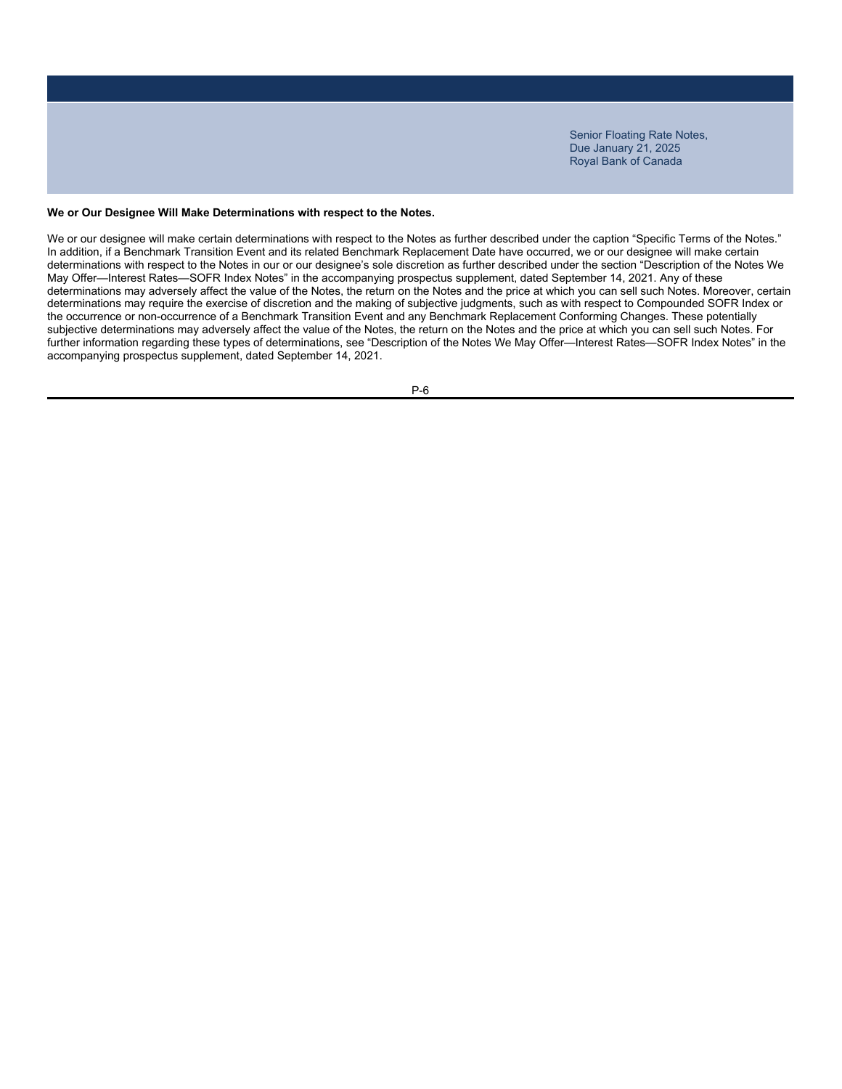### **We or Our Designee Will Make Determinations with respect to the Notes.**

We or our designee will make certain determinations with respect to the Notes as further described under the caption "Specific Terms of the Notes." In addition, if a Benchmark Transition Event and its related Benchmark Replacement Date have occurred, we or our designee will make certain determinations with respect to the Notes in our or our designee's sole discretion as further described under the section "Description of the Notes We May Offer—Interest Rates—SOFR Index Notes" in the accompanying prospectus supplement, dated September 14, 2021. Any of these determinations may adversely affect the value of the Notes, the return on the Notes and the price at which you can sell such Notes. Moreover, certain determinations may require the exercise of discretion and the making of subjective judgments, such as with respect to Compounded SOFR Index or the occurrence or non-occurrence of a Benchmark Transition Event and any Benchmark Replacement Conforming Changes. These potentially subjective determinations may adversely affect the value of the Notes, the return on the Notes and the price at which you can sell such Notes. For further information regarding these types of determinations, see "Description of the Notes We May Offer—Interest Rates—SOFR Index Notes" in the accompanying prospectus supplement, dated September 14, 2021.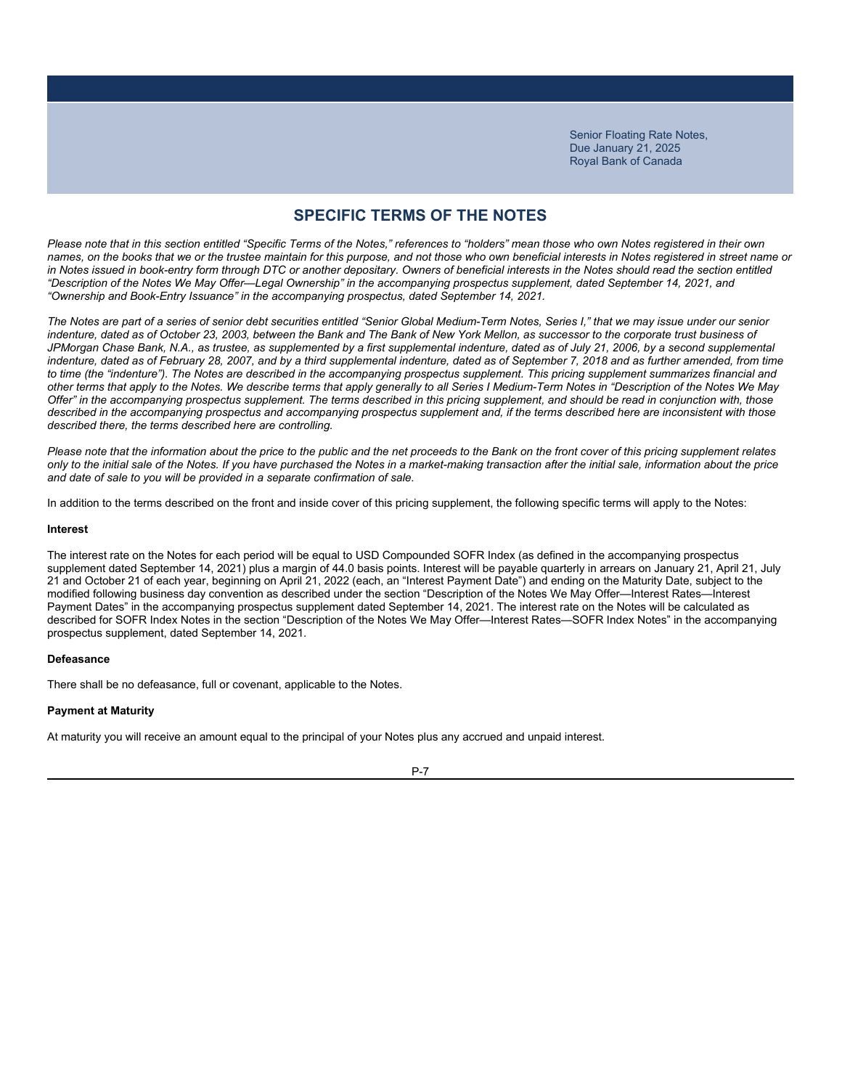### **SPECIFIC TERMS OF THE NOTES**

*Please note that in this section entitled "Specific Terms of the Notes," references to "holders" mean those who own Notes registered in their own names, on the books that we or the trustee maintain for this purpose, and not those who own beneficial interests in Notes registered in street name or*  in Notes issued in book-entry form through DTC or another depositary. Owners of beneficial interests in the Notes should read the section entitled *"Description of the Notes We May Offer—Legal Ownership" in the accompanying prospectus supplement, dated September 14, 2021, and "Ownership and Book-Entry Issuance" in the accompanying prospectus, dated September 14, 2021.*

*The Notes are part of a series of senior debt securities entitled "Senior Global Medium-Term Notes, Series I," that we may issue under our senior*  indenture, dated as of October 23, 2003, between the Bank and The Bank of New York Mellon, as successor to the corporate trust business of JPMorgan Chase Bank, N.A., as trustee, as supplemented by a first supplemental indenture, dated as of July 21, 2006, by a second supplemental indenture, dated as of February 28, 2007, and by a third supplemental indenture, dated as of September 7, 2018 and as further amended, from time *to time (the "indenture"). The Notes are described in the accompanying prospectus supplement. This pricing supplement summarizes financial and other terms that apply to the Notes. We describe terms that apply generally to all Series I Medium-Term Notes in "Description of the Notes We May Offer" in the accompanying prospectus supplement. The terms described in this pricing supplement, and should be read in conjunction with, those described in the accompanying prospectus and accompanying prospectus supplement and, if the terms described here are inconsistent with those described there, the terms described here are controlling.*

*Please note that the information about the price to the public and the net proceeds to the Bank on the front cover of this pricing supplement relates only to the initial sale of the Notes. If you have purchased the Notes in a market-making transaction after the initial sale, information about the price and date of sale to you will be provided in a separate confirmation of sale.*

In addition to the terms described on the front and inside cover of this pricing supplement, the following specific terms will apply to the Notes:

#### **Interest**

The interest rate on the Notes for each period will be equal to USD Compounded SOFR Index (as defined in the accompanying prospectus supplement dated September 14, 2021) plus a margin of 44.0 basis points. Interest will be payable quarterly in arrears on January 21, April 21, July 21 and October 21 of each year, beginning on April 21, 2022 (each, an "Interest Payment Date") and ending on the Maturity Date, subject to the modified following business day convention as described under the section "Description of the Notes We May Offer—Interest Rates—Interest Payment Dates" in the accompanying prospectus supplement dated September 14, 2021. The interest rate on the Notes will be calculated as described for SOFR Index Notes in the section "Description of the Notes We May Offer—Interest Rates—SOFR Index Notes" in the accompanying prospectus supplement, dated September 14, 2021.

#### **Defeasance**

There shall be no defeasance, full or covenant, applicable to the Notes.

#### **Payment at Maturity**

At maturity you will receive an amount equal to the principal of your Notes plus any accrued and unpaid interest.

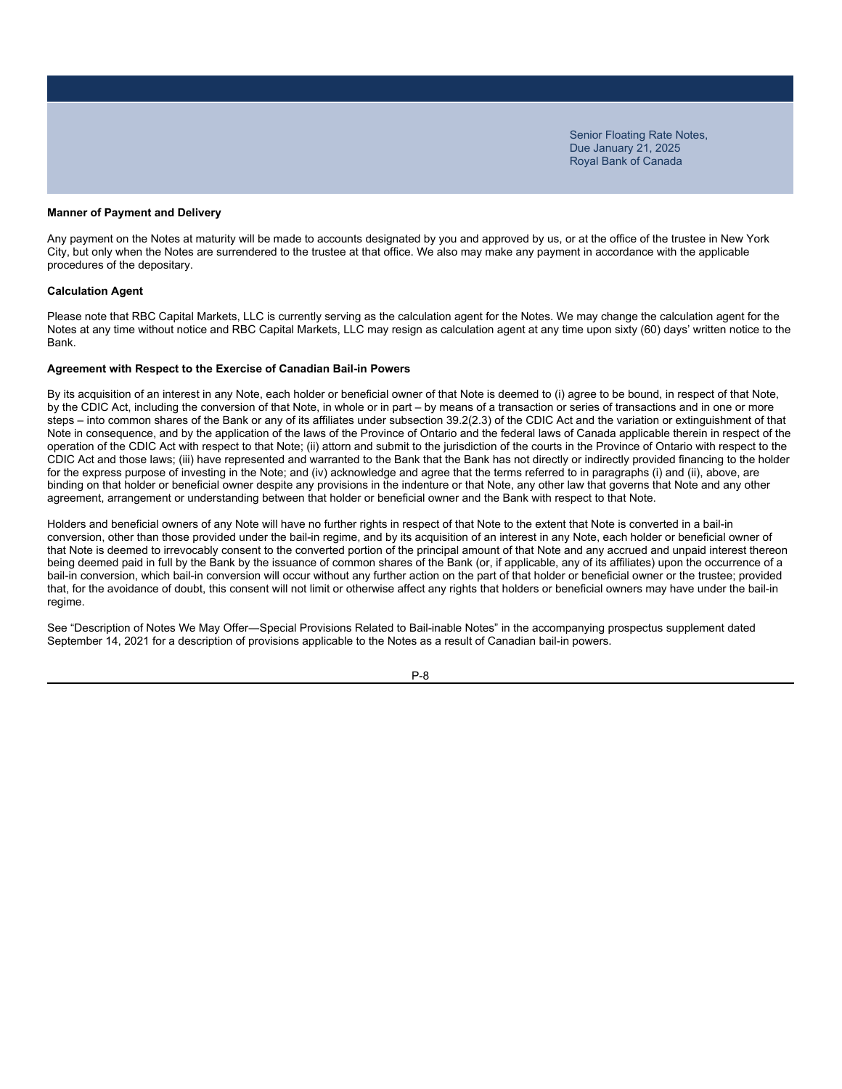#### **Manner of Payment and Delivery**

Any payment on the Notes at maturity will be made to accounts designated by you and approved by us, or at the office of the trustee in New York City, but only when the Notes are surrendered to the trustee at that office. We also may make any payment in accordance with the applicable procedures of the depositary.

#### **Calculation Agent**

Please note that RBC Capital Markets, LLC is currently serving as the calculation agent for the Notes. We may change the calculation agent for the Notes at any time without notice and RBC Capital Markets, LLC may resign as calculation agent at any time upon sixty (60) days' written notice to the Bank.

#### **Agreement with Respect to the Exercise of Canadian Bail-in Powers**

By its acquisition of an interest in any Note, each holder or beneficial owner of that Note is deemed to (i) agree to be bound, in respect of that Note, by the CDIC Act, including the conversion of that Note, in whole or in part – by means of a transaction or series of transactions and in one or more steps – into common shares of the Bank or any of its affiliates under subsection 39.2(2.3) of the CDIC Act and the variation or extinguishment of that Note in consequence, and by the application of the laws of the Province of Ontario and the federal laws of Canada applicable therein in respect of the operation of the CDIC Act with respect to that Note; (ii) attorn and submit to the jurisdiction of the courts in the Province of Ontario with respect to the CDIC Act and those laws; (iii) have represented and warranted to the Bank that the Bank has not directly or indirectly provided financing to the holder for the express purpose of investing in the Note; and (iv) acknowledge and agree that the terms referred to in paragraphs (i) and (ii), above, are binding on that holder or beneficial owner despite any provisions in the indenture or that Note, any other law that governs that Note and any other agreement, arrangement or understanding between that holder or beneficial owner and the Bank with respect to that Note.

Holders and beneficial owners of any Note will have no further rights in respect of that Note to the extent that Note is converted in a bail-in conversion, other than those provided under the bail-in regime, and by its acquisition of an interest in any Note, each holder or beneficial owner of that Note is deemed to irrevocably consent to the converted portion of the principal amount of that Note and any accrued and unpaid interest thereon being deemed paid in full by the Bank by the issuance of common shares of the Bank (or, if applicable, any of its affiliates) upon the occurrence of a bail-in conversion, which bail-in conversion will occur without any further action on the part of that holder or beneficial owner or the trustee; provided that, for the avoidance of doubt, this consent will not limit or otherwise affect any rights that holders or beneficial owners may have under the bail-in regime.

See "Description of Notes We May Offer―Special Provisions Related to Bail-inable Notes" in the accompanying prospectus supplement dated September 14, 2021 for a description of provisions applicable to the Notes as a result of Canadian bail-in powers.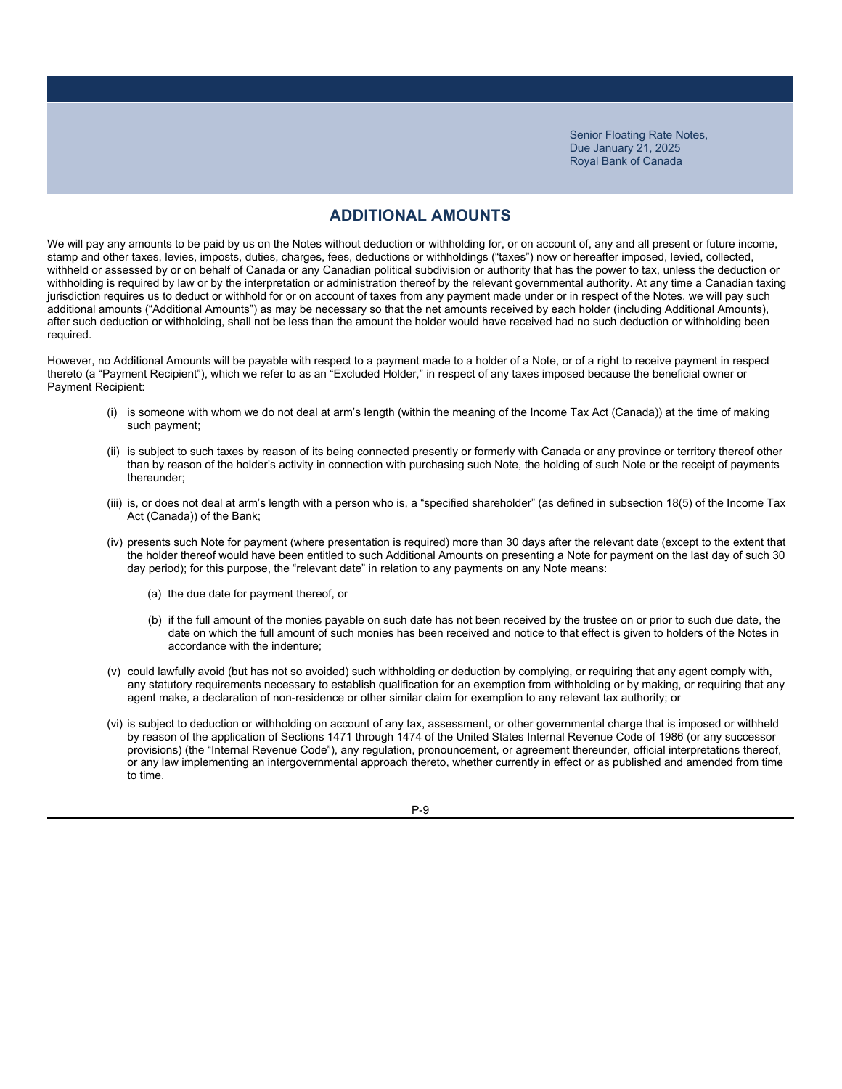### **ADDITIONAL AMOUNTS**

We will pay any amounts to be paid by us on the Notes without deduction or withholding for, or on account of, any and all present or future income, stamp and other taxes, levies, imposts, duties, charges, fees, deductions or withholdings ("taxes") now or hereafter imposed, levied, collected, withheld or assessed by or on behalf of Canada or any Canadian political subdivision or authority that has the power to tax, unless the deduction or withholding is required by law or by the interpretation or administration thereof by the relevant governmental authority. At any time a Canadian taxing jurisdiction requires us to deduct or withhold for or on account of taxes from any payment made under or in respect of the Notes, we will pay such additional amounts ("Additional Amounts") as may be necessary so that the net amounts received by each holder (including Additional Amounts), after such deduction or withholding, shall not be less than the amount the holder would have received had no such deduction or withholding been required.

However, no Additional Amounts will be payable with respect to a payment made to a holder of a Note, or of a right to receive payment in respect thereto (a "Payment Recipient"), which we refer to as an "Excluded Holder," in respect of any taxes imposed because the beneficial owner or Payment Recipient:

- (i) is someone with whom we do not deal at arm's length (within the meaning of the Income Tax Act (Canada)) at the time of making such payment;
- (ii) is subject to such taxes by reason of its being connected presently or formerly with Canada or any province or territory thereof other than by reason of the holder's activity in connection with purchasing such Note, the holding of such Note or the receipt of payments thereunder;
- (iii) is, or does not deal at arm's length with a person who is, a "specified shareholder" (as defined in subsection 18(5) of the Income Tax Act (Canada)) of the Bank;
- (iv) presents such Note for payment (where presentation is required) more than 30 days after the relevant date (except to the extent that the holder thereof would have been entitled to such Additional Amounts on presenting a Note for payment on the last day of such 30 day period); for this purpose, the "relevant date" in relation to any payments on any Note means:
	- (a) the due date for payment thereof, or
	- (b) if the full amount of the monies payable on such date has not been received by the trustee on or prior to such due date, the date on which the full amount of such monies has been received and notice to that effect is given to holders of the Notes in accordance with the indenture;
- (v) could lawfully avoid (but has not so avoided) such withholding or deduction by complying, or requiring that any agent comply with, any statutory requirements necessary to establish qualification for an exemption from withholding or by making, or requiring that any agent make, a declaration of non-residence or other similar claim for exemption to any relevant tax authority; or
- (vi) is subject to deduction or withholding on account of any tax, assessment, or other governmental charge that is imposed or withheld by reason of the application of Sections 1471 through 1474 of the United States Internal Revenue Code of 1986 (or any successor provisions) (the "Internal Revenue Code"), any regulation, pronouncement, or agreement thereunder, official interpretations thereof, or any law implementing an intergovernmental approach thereto, whether currently in effect or as published and amended from time to time.

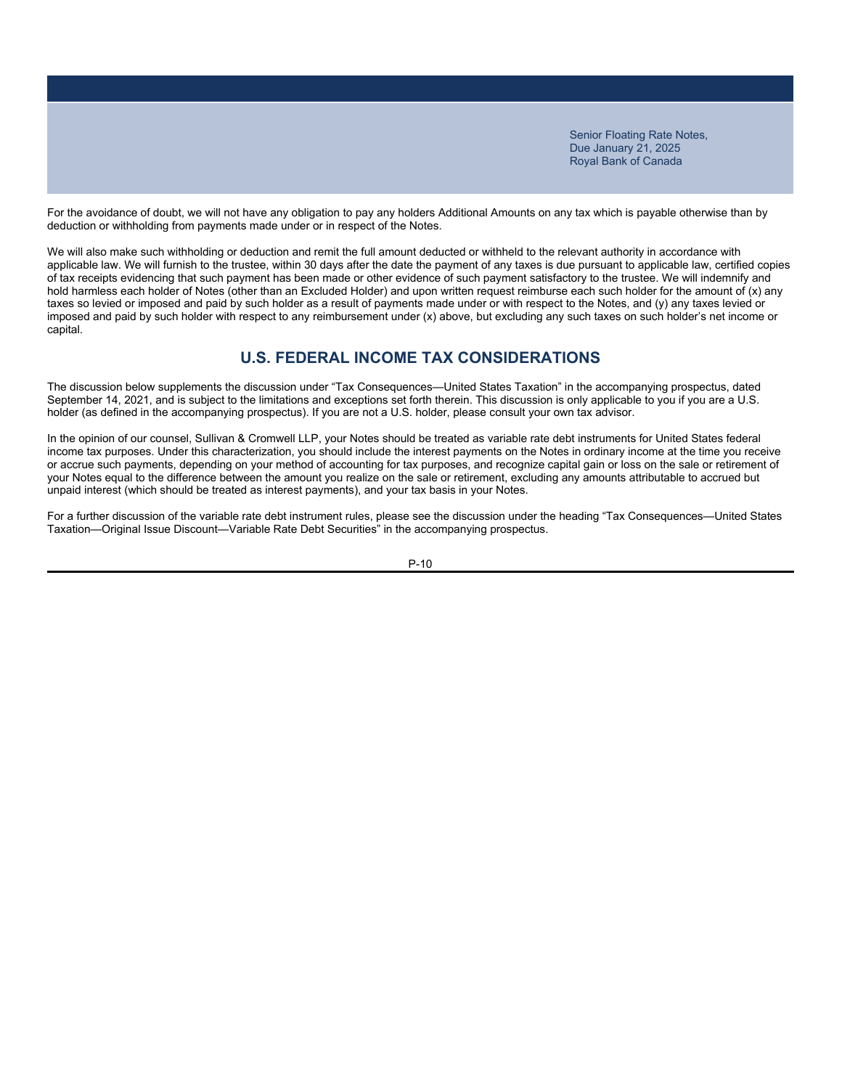For the avoidance of doubt, we will not have any obligation to pay any holders Additional Amounts on any tax which is payable otherwise than by deduction or withholding from payments made under or in respect of the Notes.

We will also make such withholding or deduction and remit the full amount deducted or withheld to the relevant authority in accordance with applicable law. We will furnish to the trustee, within 30 days after the date the payment of any taxes is due pursuant to applicable law, certified copies of tax receipts evidencing that such payment has been made or other evidence of such payment satisfactory to the trustee. We will indemnify and hold harmless each holder of Notes (other than an Excluded Holder) and upon written request reimburse each such holder for the amount of (x) any taxes so levied or imposed and paid by such holder as a result of payments made under or with respect to the Notes, and (y) any taxes levied or imposed and paid by such holder with respect to any reimbursement under (x) above, but excluding any such taxes on such holder's net income or capital.

# **U.S. FEDERAL INCOME TAX CONSIDERATIONS**

The discussion below supplements the discussion under "Tax Consequences—United States Taxation" in the accompanying prospectus, dated September 14, 2021, and is subject to the limitations and exceptions set forth therein. This discussion is only applicable to you if you are a U.S. holder (as defined in the accompanying prospectus). If you are not a U.S. holder, please consult your own tax advisor.

In the opinion of our counsel, Sullivan & Cromwell LLP, your Notes should be treated as variable rate debt instruments for United States federal income tax purposes. Under this characterization, you should include the interest payments on the Notes in ordinary income at the time you receive or accrue such payments, depending on your method of accounting for tax purposes, and recognize capital gain or loss on the sale or retirement of your Notes equal to the difference between the amount you realize on the sale or retirement, excluding any amounts attributable to accrued but unpaid interest (which should be treated as interest payments), and your tax basis in your Notes.

For a further discussion of the variable rate debt instrument rules, please see the discussion under the heading "Tax Consequences—United States Taxation—Original Issue Discount—Variable Rate Debt Securities" in the accompanying prospectus.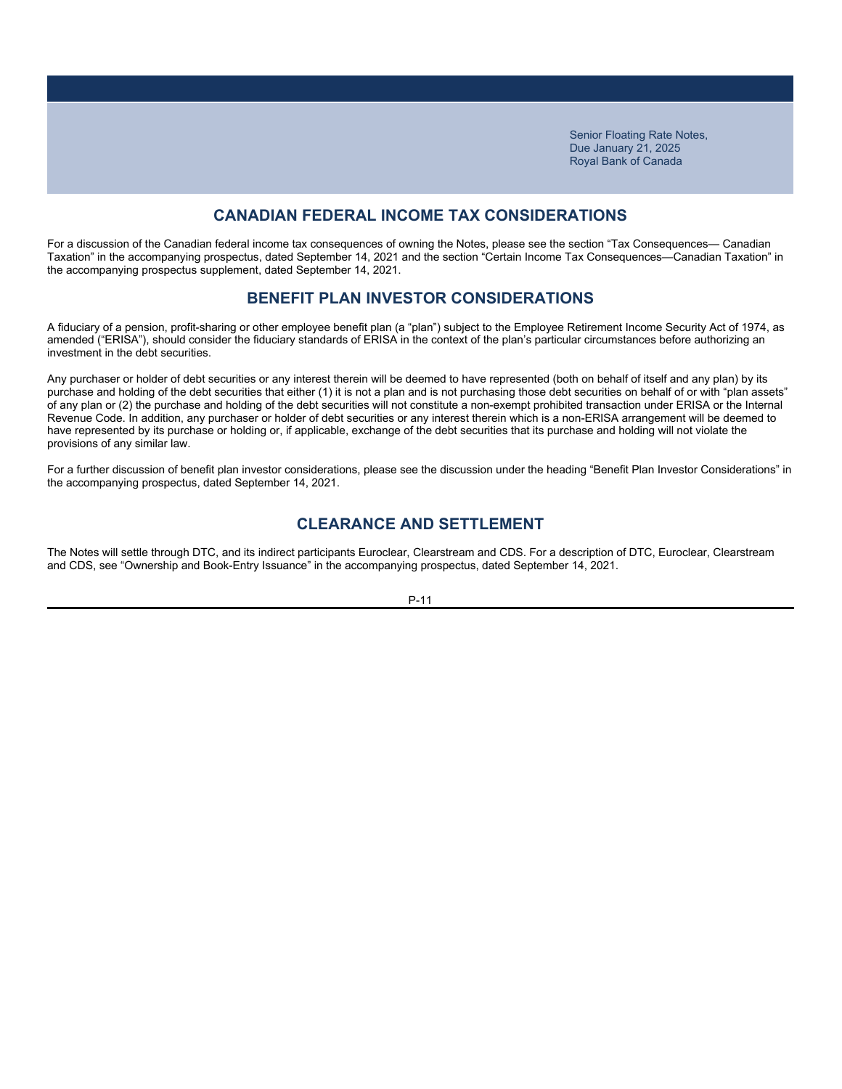# **CANADIAN FEDERAL INCOME TAX CONSIDERATIONS**

For a discussion of the Canadian federal income tax consequences of owning the Notes, please see the section "Tax Consequences— Canadian Taxation" in the accompanying prospectus, dated September 14, 2021 and the section "Certain Income Tax Consequences—Canadian Taxation" in the accompanying prospectus supplement, dated September 14, 2021.

### **BENEFIT PLAN INVESTOR CONSIDERATIONS**

A fiduciary of a pension, profit-sharing or other employee benefit plan (a "plan") subject to the Employee Retirement Income Security Act of 1974, as amended ("ERISA"), should consider the fiduciary standards of ERISA in the context of the plan's particular circumstances before authorizing an investment in the debt securities.

Any purchaser or holder of debt securities or any interest therein will be deemed to have represented (both on behalf of itself and any plan) by its purchase and holding of the debt securities that either (1) it is not a plan and is not purchasing those debt securities on behalf of or with "plan assets" of any plan or (2) the purchase and holding of the debt securities will not constitute a non-exempt prohibited transaction under ERISA or the Internal Revenue Code. In addition, any purchaser or holder of debt securities or any interest therein which is a non-ERISA arrangement will be deemed to have represented by its purchase or holding or, if applicable, exchange of the debt securities that its purchase and holding will not violate the provisions of any similar law.

For a further discussion of benefit plan investor considerations, please see the discussion under the heading "Benefit Plan Investor Considerations" in the accompanying prospectus, dated September 14, 2021.

# **CLEARANCE AND SETTLEMENT**

The Notes will settle through DTC, and its indirect participants Euroclear, Clearstream and CDS. For a description of DTC, Euroclear, Clearstream and CDS, see "Ownership and Book-Entry Issuance" in the accompanying prospectus, dated September 14, 2021.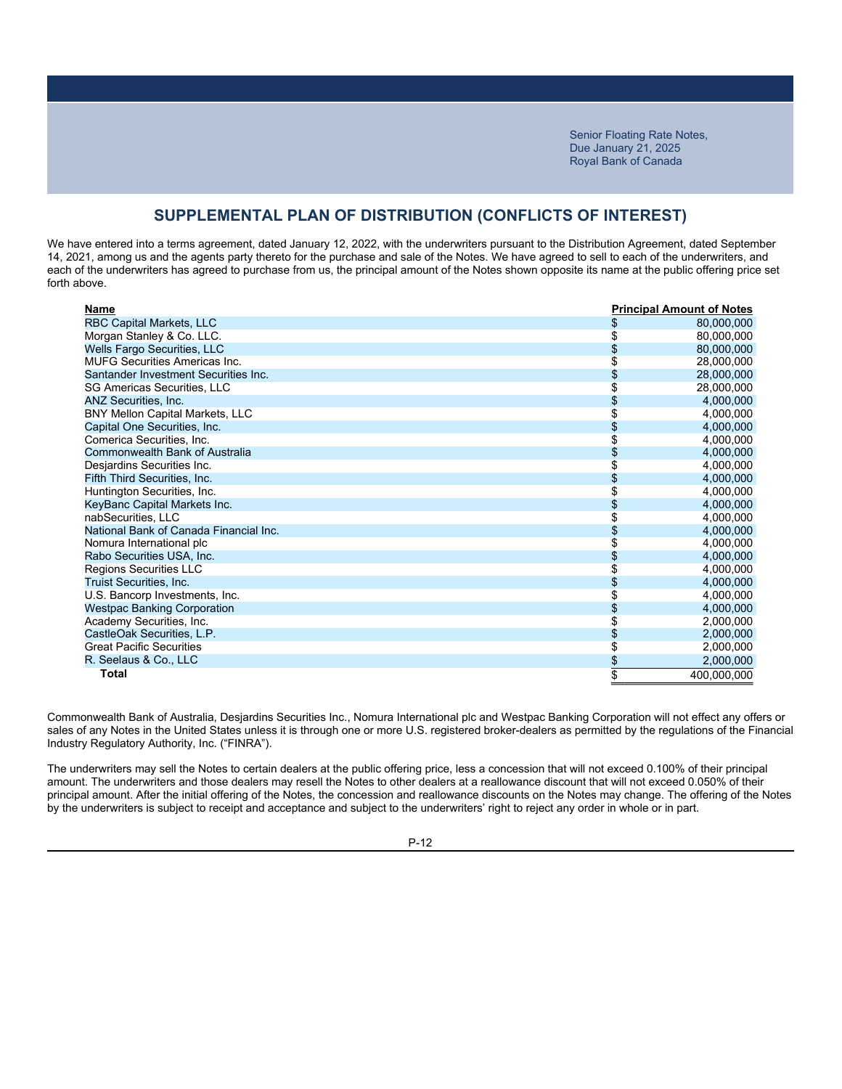### **SUPPLEMENTAL PLAN OF DISTRIBUTION (CONFLICTS OF INTEREST)**

We have entered into a terms agreement, dated January 12, 2022, with the underwriters pursuant to the Distribution Agreement, dated September 14, 2021, among us and the agents party thereto for the purchase and sale of the Notes. We have agreed to sell to each of the underwriters, and each of the underwriters has agreed to purchase from us, the principal amount of the Notes shown opposite its name at the public offering price set forth above.

| Name                                   |    | <b>Principal Amount of Notes</b> |
|----------------------------------------|----|----------------------------------|
| <b>RBC Capital Markets, LLC</b>        |    | 80,000,000                       |
| Morgan Stanley & Co. LLC.              |    | 80,000,000                       |
| Wells Fargo Securities, LLC            |    | 80,000,000                       |
| <b>MUFG Securities Americas Inc.</b>   |    | 28,000,000                       |
| Santander Investment Securities Inc.   |    | 28,000,000                       |
| <b>SG Americas Securities, LLC</b>     |    | 28,000,000                       |
| ANZ Securities, Inc.                   |    | 4,000,000                        |
| <b>BNY Mellon Capital Markets, LLC</b> |    | 4,000,000                        |
| Capital One Securities, Inc.           | S  | 4,000,000                        |
| Comerica Securities, Inc.              |    | 4,000,000                        |
| Commonwealth Bank of Australia         |    | 4,000,000                        |
| Desjardins Securities Inc.             |    | 4,000,000                        |
| Fifth Third Securities, Inc.           |    | 4,000,000                        |
| Huntington Securities, Inc.            |    | 4,000,000                        |
| KeyBanc Capital Markets Inc.           |    | 4,000,000                        |
| nabSecurities. LLC                     |    | 4,000,000                        |
| National Bank of Canada Financial Inc. |    | 4,000,000                        |
| Nomura International plc               |    | 4,000,000                        |
| Rabo Securities USA, Inc.              |    | 4,000,000                        |
| Regions Securities LLC                 |    | 4,000,000                        |
| <b>Truist Securities, Inc.</b>         |    | 4,000,000                        |
| U.S. Bancorp Investments, Inc.         |    | 4,000,000                        |
| <b>Westpac Banking Corporation</b>     |    | 4,000,000                        |
| Academy Securities, Inc.               |    | 2,000,000                        |
| CastleOak Securities, L.P.             |    | 2,000,000                        |
| <b>Great Pacific Securities</b>        | \$ | 2,000,000                        |
| R. Seelaus & Co., LLC                  | \$ | 2,000,000                        |
| Total                                  | \$ | 400.000.000                      |

Commonwealth Bank of Australia, Desjardins Securities Inc., Nomura International plc and Westpac Banking Corporation will not effect any offers or sales of any Notes in the United States unless it is through one or more U.S. registered broker-dealers as permitted by the regulations of the Financial Industry Regulatory Authority, Inc. ("FINRA").

The underwriters may sell the Notes to certain dealers at the public offering price, less a concession that will not exceed 0.100% of their principal amount. The underwriters and those dealers may resell the Notes to other dealers at a reallowance discount that will not exceed 0.050% of their principal amount. After the initial offering of the Notes, the concession and reallowance discounts on the Notes may change. The offering of the Notes by the underwriters is subject to receipt and acceptance and subject to the underwriters' right to reject any order in whole or in part.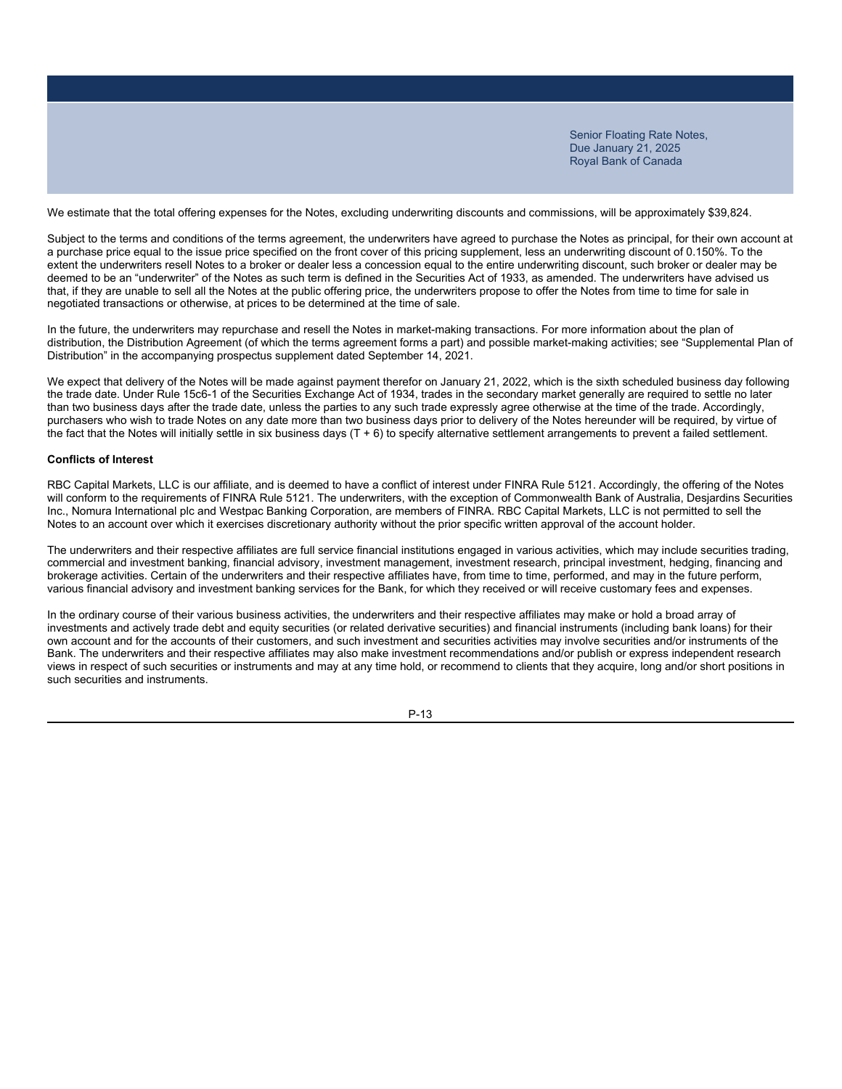We estimate that the total offering expenses for the Notes, excluding underwriting discounts and commissions, will be approximately \$39,824.

Subject to the terms and conditions of the terms agreement, the underwriters have agreed to purchase the Notes as principal, for their own account at a purchase price equal to the issue price specified on the front cover of this pricing supplement, less an underwriting discount of 0.150%. To the extent the underwriters resell Notes to a broker or dealer less a concession equal to the entire underwriting discount, such broker or dealer may be deemed to be an "underwriter" of the Notes as such term is defined in the Securities Act of 1933, as amended. The underwriters have advised us that, if they are unable to sell all the Notes at the public offering price, the underwriters propose to offer the Notes from time to time for sale in negotiated transactions or otherwise, at prices to be determined at the time of sale.

In the future, the underwriters may repurchase and resell the Notes in market-making transactions. For more information about the plan of distribution, the Distribution Agreement (of which the terms agreement forms a part) and possible market-making activities; see "Supplemental Plan of Distribution" in the accompanying prospectus supplement dated September 14, 2021.

We expect that delivery of the Notes will be made against payment therefor on January 21, 2022, which is the sixth scheduled business day following the trade date. Under Rule 15c6-1 of the Securities Exchange Act of 1934, trades in the secondary market generally are required to settle no later than two business days after the trade date, unless the parties to any such trade expressly agree otherwise at the time of the trade. Accordingly, purchasers who wish to trade Notes on any date more than two business days prior to delivery of the Notes hereunder will be required, by virtue of the fact that the Notes will initially settle in six business days (T + 6) to specify alternative settlement arrangements to prevent a failed settlement.

### **Conflicts of Interest**

RBC Capital Markets, LLC is our affiliate, and is deemed to have a conflict of interest under FINRA Rule 5121. Accordingly, the offering of the Notes will conform to the requirements of FINRA Rule 5121. The underwriters, with the exception of Commonwealth Bank of Australia, Desjardins Securities Inc., Nomura International plc and Westpac Banking Corporation, are members of FINRA. RBC Capital Markets, LLC is not permitted to sell the Notes to an account over which it exercises discretionary authority without the prior specific written approval of the account holder.

The underwriters and their respective affiliates are full service financial institutions engaged in various activities, which may include securities trading, commercial and investment banking, financial advisory, investment management, investment research, principal investment, hedging, financing and brokerage activities. Certain of the underwriters and their respective affiliates have, from time to time, performed, and may in the future perform, various financial advisory and investment banking services for the Bank, for which they received or will receive customary fees and expenses.

In the ordinary course of their various business activities, the underwriters and their respective affiliates may make or hold a broad array of investments and actively trade debt and equity securities (or related derivative securities) and financial instruments (including bank loans) for their own account and for the accounts of their customers, and such investment and securities activities may involve securities and/or instruments of the Bank. The underwriters and their respective affiliates may also make investment recommendations and/or publish or express independent research views in respect of such securities or instruments and may at any time hold, or recommend to clients that they acquire, long and/or short positions in such securities and instruments.

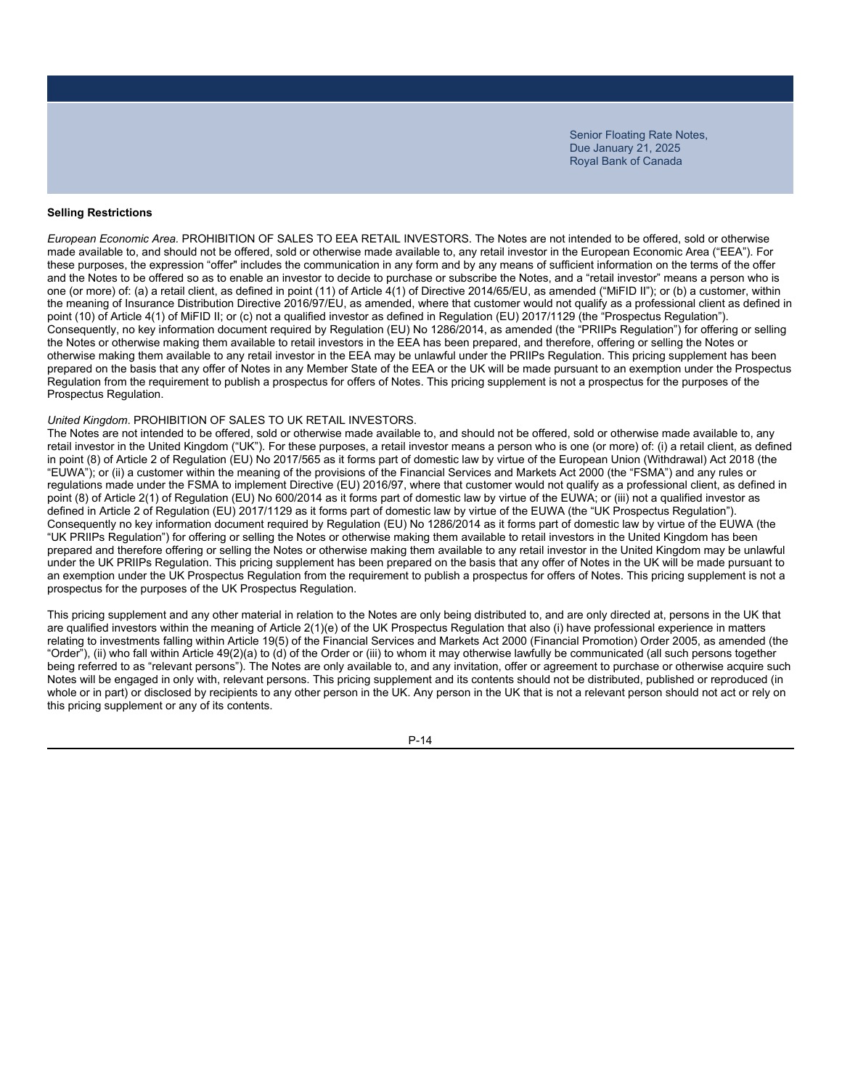### **Selling Restrictions**

*European Economic Area.* PROHIBITION OF SALES TO EEA RETAIL INVESTORS. The Notes are not intended to be offered, sold or otherwise made available to, and should not be offered, sold or otherwise made available to, any retail investor in the European Economic Area ("EEA"). For these purposes, the expression "offer" includes the communication in any form and by any means of sufficient information on the terms of the offer and the Notes to be offered so as to enable an investor to decide to purchase or subscribe the Notes, and a "retail investor" means a person who is one (or more) of: (a) a retail client, as defined in point (11) of Article 4(1) of Directive 2014/65/EU, as amended ("MiFID II"); or (b) a customer, within the meaning of Insurance Distribution Directive 2016/97/EU, as amended, where that customer would not qualify as a professional client as defined in point (10) of Article 4(1) of MiFID II; or (c) not a qualified investor as defined in Regulation (EU) 2017/1129 (the "Prospectus Regulation"). Consequently, no key information document required by Regulation (EU) No 1286/2014, as amended (the "PRIIPs Regulation") for offering or selling the Notes or otherwise making them available to retail investors in the EEA has been prepared, and therefore, offering or selling the Notes or otherwise making them available to any retail investor in the EEA may be unlawful under the PRIIPs Regulation. This pricing supplement has been prepared on the basis that any offer of Notes in any Member State of the EEA or the UK will be made pursuant to an exemption under the Prospectus Regulation from the requirement to publish a prospectus for offers of Notes. This pricing supplement is not a prospectus for the purposes of the Prospectus Regulation.

#### *United Kingdom*. PROHIBITION OF SALES TO UK RETAIL INVESTORS.

The Notes are not intended to be offered, sold or otherwise made available to, and should not be offered, sold or otherwise made available to, any retail investor in the United Kingdom ("UK"). For these purposes, a retail investor means a person who is one (or more) of: (i) a retail client, as defined in point (8) of Article 2 of Regulation (EU) No 2017/565 as it forms part of domestic law by virtue of the European Union (Withdrawal) Act 2018 (the "EUWA"); or (ii) a customer within the meaning of the provisions of the Financial Services and Markets Act 2000 (the "FSMA") and any rules or regulations made under the FSMA to implement Directive (EU) 2016/97, where that customer would not qualify as a professional client, as defined in point (8) of Article 2(1) of Regulation (EU) No 600/2014 as it forms part of domestic law by virtue of the EUWA; or (iii) not a qualified investor as defined in Article 2 of Regulation (EU) 2017/1129 as it forms part of domestic law by virtue of the EUWA (the "UK Prospectus Regulation"). Consequently no key information document required by Regulation (EU) No 1286/2014 as it forms part of domestic law by virtue of the EUWA (the "UK PRIIPs Regulation") for offering or selling the Notes or otherwise making them available to retail investors in the United Kingdom has been prepared and therefore offering or selling the Notes or otherwise making them available to any retail investor in the United Kingdom may be unlawful under the UK PRIIPs Regulation. This pricing supplement has been prepared on the basis that any offer of Notes in the UK will be made pursuant to an exemption under the UK Prospectus Regulation from the requirement to publish a prospectus for offers of Notes. This pricing supplement is not a prospectus for the purposes of the UK Prospectus Regulation.

This pricing supplement and any other material in relation to the Notes are only being distributed to, and are only directed at, persons in the UK that are qualified investors within the meaning of Article 2(1)(e) of the UK Prospectus Regulation that also (i) have professional experience in matters relating to investments falling within Article 19(5) of the Financial Services and Markets Act 2000 (Financial Promotion) Order 2005, as amended (the "Order"), (ii) who fall within Article 49(2)(a) to (d) of the Order or (iii) to whom it may otherwise lawfully be communicated (all such persons together being referred to as "relevant persons"). The Notes are only available to, and any invitation, offer or agreement to purchase or otherwise acquire such Notes will be engaged in only with, relevant persons. This pricing supplement and its contents should not be distributed, published or reproduced (in whole or in part) or disclosed by recipients to any other person in the UK. Any person in the UK that is not a relevant person should not act or rely on this pricing supplement or any of its contents.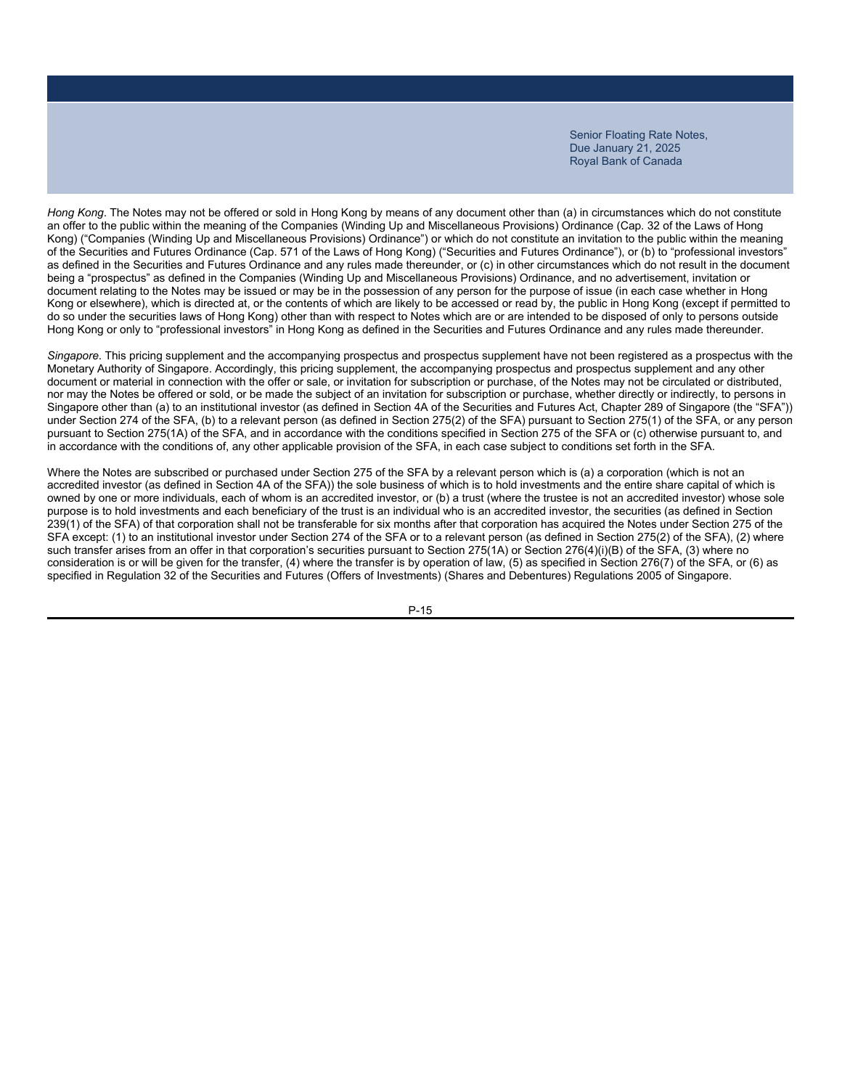*Hong Kong*. The Notes may not be offered or sold in Hong Kong by means of any document other than (a) in circumstances which do not constitute an offer to the public within the meaning of the Companies (Winding Up and Miscellaneous Provisions) Ordinance (Cap. 32 of the Laws of Hong Kong) ("Companies (Winding Up and Miscellaneous Provisions) Ordinance") or which do not constitute an invitation to the public within the meaning of the Securities and Futures Ordinance (Cap. 571 of the Laws of Hong Kong) ("Securities and Futures Ordinance"), or (b) to "professional investors" as defined in the Securities and Futures Ordinance and any rules made thereunder, or (c) in other circumstances which do not result in the document being a "prospectus" as defined in the Companies (Winding Up and Miscellaneous Provisions) Ordinance, and no advertisement, invitation or document relating to the Notes may be issued or may be in the possession of any person for the purpose of issue (in each case whether in Hong Kong or elsewhere), which is directed at, or the contents of which are likely to be accessed or read by, the public in Hong Kong (except if permitted to do so under the securities laws of Hong Kong) other than with respect to Notes which are or are intended to be disposed of only to persons outside Hong Kong or only to "professional investors" in Hong Kong as defined in the Securities and Futures Ordinance and any rules made thereunder.

*Singapore*. This pricing supplement and the accompanying prospectus and prospectus supplement have not been registered as a prospectus with the Monetary Authority of Singapore. Accordingly, this pricing supplement, the accompanying prospectus and prospectus supplement and any other document or material in connection with the offer or sale, or invitation for subscription or purchase, of the Notes may not be circulated or distributed, nor may the Notes be offered or sold, or be made the subject of an invitation for subscription or purchase, whether directly or indirectly, to persons in Singapore other than (a) to an institutional investor (as defined in Section 4A of the Securities and Futures Act, Chapter 289 of Singapore (the "SFA")) under Section 274 of the SFA, (b) to a relevant person (as defined in Section 275(2) of the SFA) pursuant to Section 275(1) of the SFA, or any person pursuant to Section 275(1A) of the SFA, and in accordance with the conditions specified in Section 275 of the SFA or (c) otherwise pursuant to, and in accordance with the conditions of, any other applicable provision of the SFA, in each case subject to conditions set forth in the SFA.

Where the Notes are subscribed or purchased under Section 275 of the SFA by a relevant person which is (a) a corporation (which is not an accredited investor (as defined in Section 4A of the SFA)) the sole business of which is to hold investments and the entire share capital of which is owned by one or more individuals, each of whom is an accredited investor, or (b) a trust (where the trustee is not an accredited investor) whose sole purpose is to hold investments and each beneficiary of the trust is an individual who is an accredited investor, the securities (as defined in Section 239(1) of the SFA) of that corporation shall not be transferable for six months after that corporation has acquired the Notes under Section 275 of the SFA except: (1) to an institutional investor under Section 274 of the SFA or to a relevant person (as defined in Section 275(2) of the SFA), (2) where such transfer arises from an offer in that corporation's securities pursuant to Section 275(1A) or Section 276(4)(i)(B) of the SFA, (3) where no consideration is or will be given for the transfer, (4) where the transfer is by operation of law, (5) as specified in Section 276(7) of the SFA, or (6) as specified in Regulation 32 of the Securities and Futures (Offers of Investments) (Shares and Debentures) Regulations 2005 of Singapore.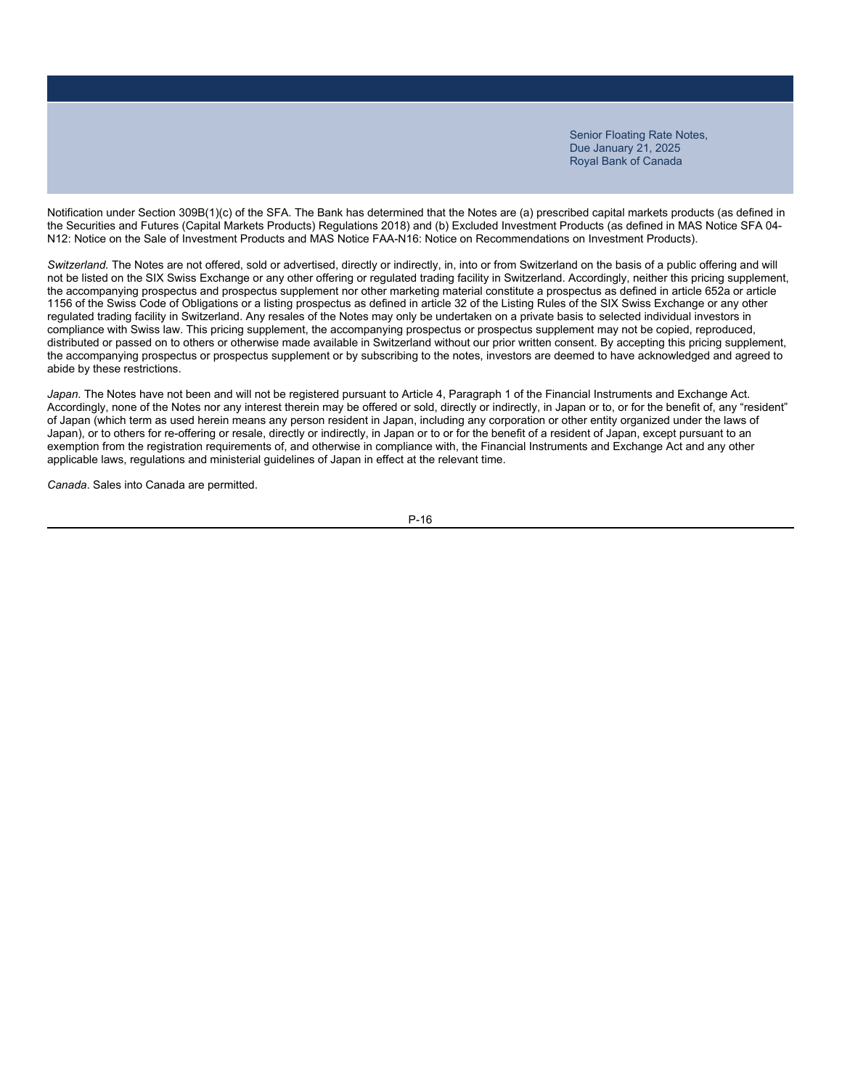Notification under Section 309B(1)(c) of the SFA. The Bank has determined that the Notes are (a) prescribed capital markets products (as defined in the Securities and Futures (Capital Markets Products) Regulations 2018) and (b) Excluded Investment Products (as defined in MAS Notice SFA 04- N12: Notice on the Sale of Investment Products and MAS Notice FAA-N16: Notice on Recommendations on Investment Products).

*Switzerland.* The Notes are not offered, sold or advertised, directly or indirectly, in, into or from Switzerland on the basis of a public offering and will not be listed on the SIX Swiss Exchange or any other offering or regulated trading facility in Switzerland. Accordingly, neither this pricing supplement, the accompanying prospectus and prospectus supplement nor other marketing material constitute a prospectus as defined in article 652a or article 1156 of the Swiss Code of Obligations or a listing prospectus as defined in article 32 of the Listing Rules of the SIX Swiss Exchange or any other regulated trading facility in Switzerland. Any resales of the Notes may only be undertaken on a private basis to selected individual investors in compliance with Swiss law. This pricing supplement, the accompanying prospectus or prospectus supplement may not be copied, reproduced, distributed or passed on to others or otherwise made available in Switzerland without our prior written consent. By accepting this pricing supplement, the accompanying prospectus or prospectus supplement or by subscribing to the notes, investors are deemed to have acknowledged and agreed to abide by these restrictions.

Japan. The Notes have not been and will not be registered pursuant to Article 4, Paragraph 1 of the Financial Instruments and Exchange Act. Accordingly, none of the Notes nor any interest therein may be offered or sold, directly or indirectly, in Japan or to, or for the benefit of, any "resident" of Japan (which term as used herein means any person resident in Japan, including any corporation or other entity organized under the laws of Japan), or to others for re-offering or resale, directly or indirectly, in Japan or to or for the benefit of a resident of Japan, except pursuant to an exemption from the registration requirements of, and otherwise in compliance with, the Financial Instruments and Exchange Act and any other applicable laws, regulations and ministerial guidelines of Japan in effect at the relevant time.

*Canada*. Sales into Canada are permitted.